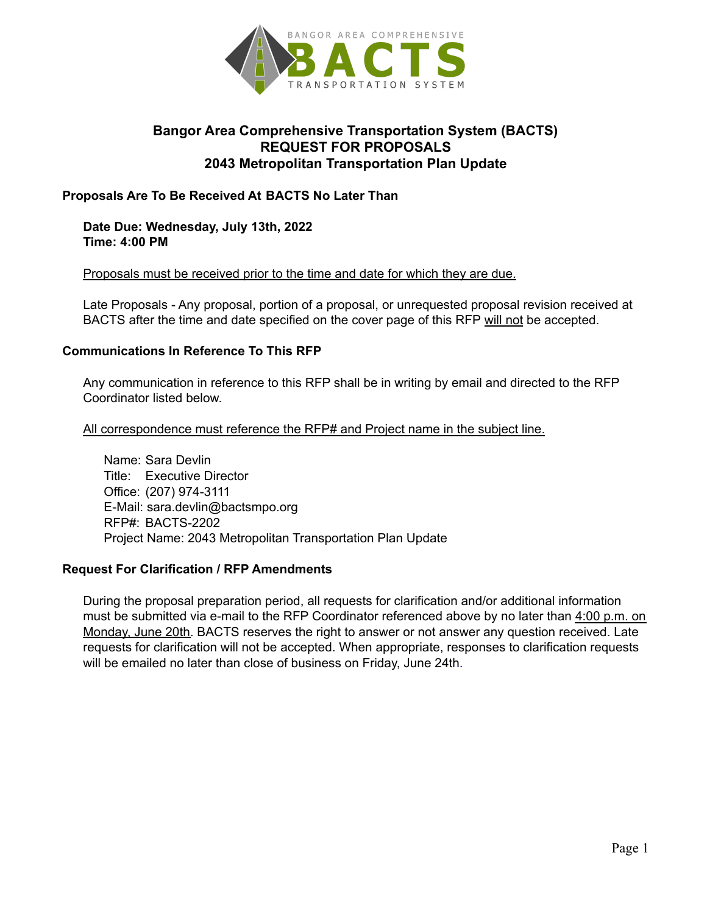

# **Bangor Area Comprehensive Transportation System (BACTS) REQUEST FOR PROPOSALS 2043 Metropolitan Transportation Plan Update**

#### **Proposals Are To Be Received At BACTS No Later Than**

**Date Due: Wednesday, July 13th, 2022 Time: 4:00 PM**

#### Proposals must be received prior to the time and date for which they are due.

Late Proposals - Any proposal, portion of a proposal, or unrequested proposal revision received at BACTS after the time and date specified on the cover page of this RFP will not be accepted.

#### **Communications In Reference To This RFP**

Any communication in reference to this RFP shall be in writing by email and directed to the RFP Coordinator listed below.

All correspondence must reference the RFP# and Project name in the subject line.

Name: Sara Devlin Title: Executive Director Office: (207) 974-3111 E-Mail: sara.devlin@bactsmpo.org RFP#: BACTS-2202 Project Name: 2043 Metropolitan Transportation Plan Update

#### **Request For Clarification / RFP Amendments**

During the proposal preparation period, all requests for clarification and/or additional information must be submitted via e-mail to the RFP Coordinator referenced above by no later than 4:00 p.m. on Monday, June 20th. BACTS reserves the right to answer or not answer any question received. Late requests for clarification will not be accepted. When appropriate, responses to clarification requests will be emailed no later than close of business on Friday, June 24th.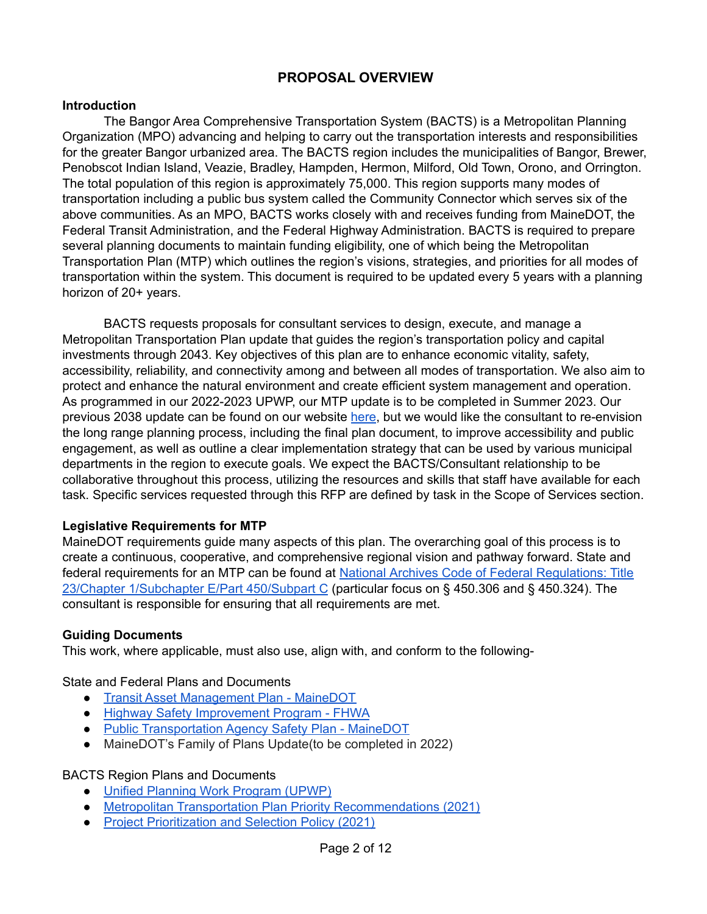# **PROPOSAL OVERVIEW**

#### **Introduction**

The Bangor Area Comprehensive Transportation System (BACTS) is a Metropolitan Planning Organization (MPO) advancing and helping to carry out the transportation interests and responsibilities for the greater Bangor urbanized area. The BACTS region includes the municipalities of Bangor, Brewer, Penobscot Indian Island, Veazie, Bradley, Hampden, Hermon, Milford, Old Town, Orono, and Orrington. The total population of this region is approximately 75,000. This region supports many modes of transportation including a public bus system called the Community Connector which serves six of the above communities. As an MPO, BACTS works closely with and receives funding from MaineDOT, the Federal Transit Administration, and the Federal Highway Administration. BACTS is required to prepare several planning documents to maintain funding eligibility, one of which being the Metropolitan Transportation Plan (MTP) which outlines the region's visions, strategies, and priorities for all modes of transportation within the system. This document is required to be updated every 5 years with a planning horizon of 20+ years.

BACTS requests proposals for consultant services to design, execute, and manage a Metropolitan Transportation Plan update that guides the region's transportation policy and capital investments through 2043. Key objectives of this plan are to enhance economic vitality, safety, accessibility, reliability, and connectivity among and between all modes of transportation. We also aim to protect and enhance the natural environment and create efficient system management and operation. As programmed in our 2022-2023 UPWP, our MTP update is to be completed in Summer 2023. Our previous 2038 update can be found on our website [here,](https://bactsmpo.org/wp-content/uploads/2020/11/MTP-2018-2038.pdf) but we would like the consultant to re-envision the long range planning process, including the final plan document, to improve accessibility and public engagement, as well as outline a clear implementation strategy that can be used by various municipal departments in the region to execute goals. We expect the BACTS/Consultant relationship to be collaborative throughout this process, utilizing the resources and skills that staff have available for each task. Specific services requested through this RFP are defined by task in the Scope of Services section.

#### **Legislative Requirements for MTP**

MaineDOT requirements guide many aspects of this plan. The overarching goal of this process is to create a continuous, cooperative, and comprehensive regional vision and pathway forward. State and federal requirements for an MTP can be found at National Archives Code of Federal [Regulations:](https://www.ecfr.gov/current/title-23/part-450/subpart-C) Title 23/Chapter [1/Subchapter](https://www.ecfr.gov/current/title-23/part-450/subpart-C) E/Part 450/Subpart C (particular focus on § 450.306 and § 450.324). The consultant is responsible for ensuring that all requirements are met.

#### **Guiding Documents**

This work, where applicable, must also use, align with, and conform to the following-

State and Federal Plans and Documents

- Transit Asset [Management](https://www.maine.gov/mdot/transit/docs/2018/ME_TAM_Plan_10.01.18.pdf) Plan MaineDOT
- Highway Safety [Improvement](https://safety.fhwa.dot.gov/hsip/) Program FHWA
- Public [Transportation](https://www.maine.gov/mdot/transit/docs/2019/smp_2019_update-final.pdf) Agency Safety Plan MaineDOT
- MaineDOT's Family of Plans Update(to be completed in 2022)

#### BACTS Region Plans and Documents

- Unified [Planning](https://bactsmpo.org/wp-content/uploads/2022/06/UPWP-2022-2023-Rev06102022.pdf) Work Program (UPWP)
- Metropolitan Transportation Plan Priority [Recommendations](https://bactsmpo.org/wp-content/uploads/2021/09/Metropolitan-Transportation-Plan-Priority-Recommendations-Report-1.pdf) (2021)
- Project [Prioritization](https://bactsmpo.org/wp-content/uploads/2021/09/BACTS-TIP-Project-Prioritization-and-Selection-Process-1.pdf) and Selection Policy (2021)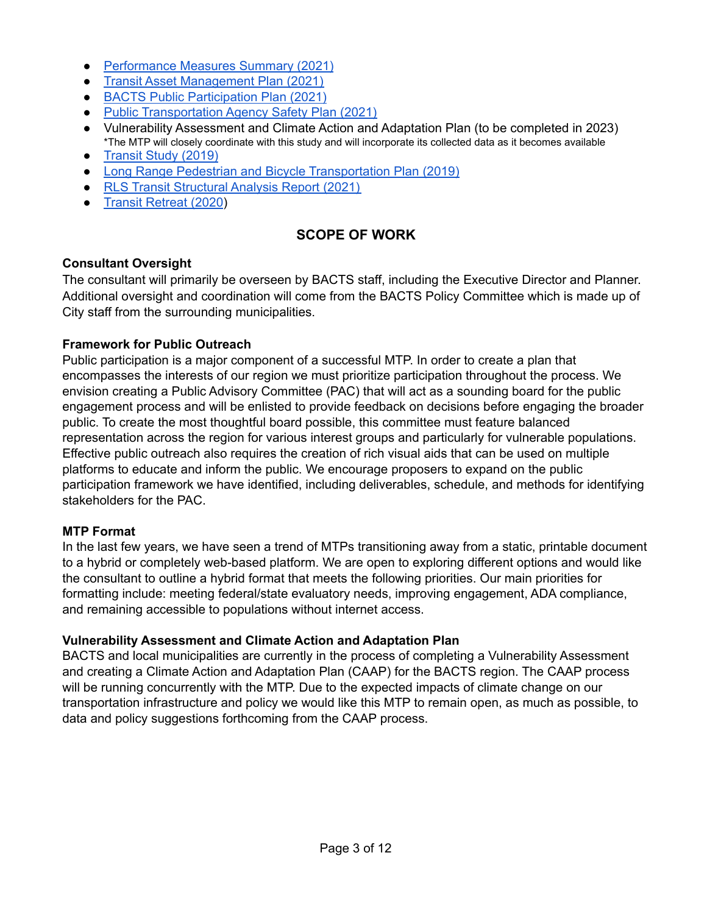- [Performance](https://bactsmpo.org/wp-content/uploads/2021/09/Performance-Measures-Report-1.pdf) Measures Summary (2021)
- Transit Asset [Management](https://bactsmpo.org/wp-content/uploads/2022/02/City-of-Bangor-Community-Connector-TAM-PLAN-2021-2025-1.pdf) Plan (2021)
- BACTS Public [Participation](https://bactsmpo.org/wp-content/uploads/2021/11/2021-Public-Participation-Plan-Rev-1-1.pdf) Plan (2021)
- Public [Transportation](https://bactsmpo.org/wp-content/uploads/2022/02/City-of-Bangor-Community-Connector-PTASP-2021.pdf) Agency Safety Plan (2021)
- Vulnerability Assessment and Climate Action and Adaptation Plan (to be completed in 2023) \*The MTP will closely coordinate with this study and will incorporate its collected data as it becomes available
- [Transit](https://bactsmpo.org/wp-content/uploads/2020/11/Community-Connector-Transit-Study.pdf) Study (2019)
- Long Range Pedestrian and Bicycle [Transportation](https://bactsmpo.org/wp-content/uploads/2021/06/BACTS-Long-Range-Pedestrian-and-Bicycle-Transportation-Plan.pdf) Plan (2019)
- RLS Transit [Structural](https://bactsmpo.org/wp-content/uploads/2021/11/Community-Connector-Organizational-Structure-Analysis_Final-Report-1.pdf) Analysis Report (2021)
- Transit [Retreat](https://bactsmpo.org/wp-content/uploads/2022/04/BACTS-Transit-Coordination-Retreat-Meeting-Report-2020-06-25-2.pdf) (2020)

## **SCOPE OF WORK**

#### **Consultant Oversight**

The consultant will primarily be overseen by BACTS staff, including the Executive Director and Planner. Additional oversight and coordination will come from the BACTS Policy Committee which is made up of City staff from the surrounding municipalities.

#### **Framework for Public Outreach**

Public participation is a major component of a successful MTP. In order to create a plan that encompasses the interests of our region we must prioritize participation throughout the process. We envision creating a Public Advisory Committee (PAC) that will act as a sounding board for the public engagement process and will be enlisted to provide feedback on decisions before engaging the broader public. To create the most thoughtful board possible, this committee must feature balanced representation across the region for various interest groups and particularly for vulnerable populations. Effective public outreach also requires the creation of rich visual aids that can be used on multiple platforms to educate and inform the public. We encourage proposers to expand on the public participation framework we have identified, including deliverables, schedule, and methods for identifying stakeholders for the PAC.

#### **MTP Format**

In the last few years, we have seen a trend of MTPs transitioning away from a static, printable document to a hybrid or completely web-based platform. We are open to exploring different options and would like the consultant to outline a hybrid format that meets the following priorities. Our main priorities for formatting include: meeting federal/state evaluatory needs, improving engagement, ADA compliance, and remaining accessible to populations without internet access.

#### **Vulnerability Assessment and Climate Action and Adaptation Plan**

BACTS and local municipalities are currently in the process of completing a Vulnerability Assessment and creating a Climate Action and Adaptation Plan (CAAP) for the BACTS region. The CAAP process will be running concurrently with the MTP. Due to the expected impacts of climate change on our transportation infrastructure and policy we would like this MTP to remain open, as much as possible, to data and policy suggestions forthcoming from the CAAP process.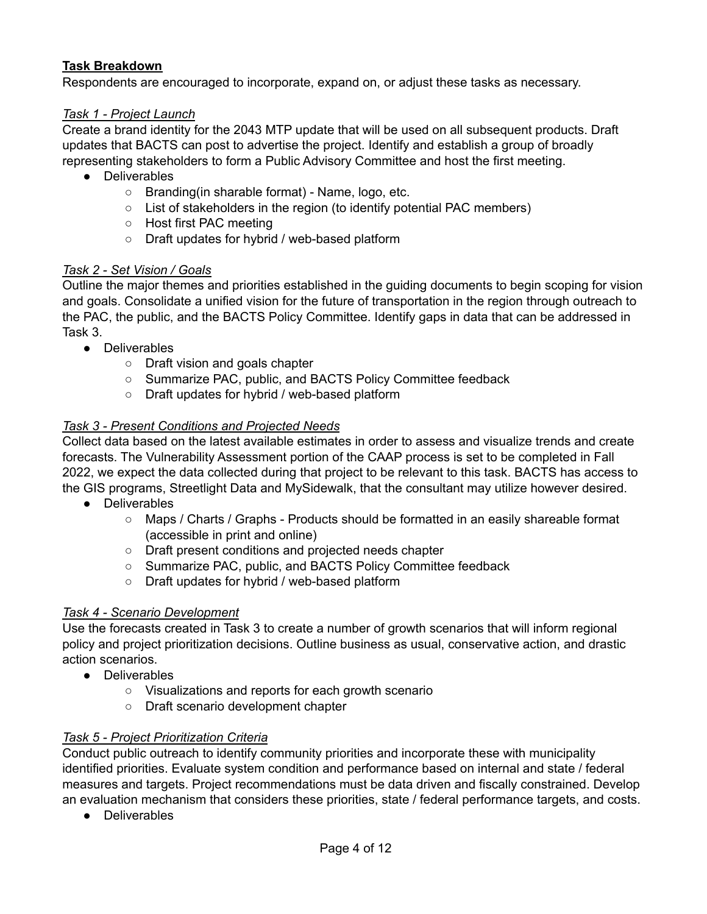### **Task Breakdown**

Respondents are encouraged to incorporate, expand on, or adjust these tasks as necessary.

#### *Task 1 - Project Launch*

Create a brand identity for the 2043 MTP update that will be used on all subsequent products. Draft updates that BACTS can post to advertise the project. Identify and establish a group of broadly representing stakeholders to form a Public Advisory Committee and host the first meeting.

- Deliverables
	- Branding(in sharable format) Name, logo, etc.
	- List of stakeholders in the region (to identify potential PAC members)
	- Host first PAC meeting
	- Draft updates for hybrid / web-based platform

#### *Task 2 - Set Vision / Goals*

Outline the major themes and priorities established in the guiding documents to begin scoping for vision and goals. Consolidate a unified vision for the future of transportation in the region through outreach to the PAC, the public, and the BACTS Policy Committee. Identify gaps in data that can be addressed in Task 3.

- Deliverables
	- Draft vision and goals chapter
	- Summarize PAC, public, and BACTS Policy Committee feedback
	- Draft updates for hybrid / web-based platform

#### *Task 3 - Present Conditions and Projected Needs*

Collect data based on the latest available estimates in order to assess and visualize trends and create forecasts. The Vulnerability Assessment portion of the CAAP process is set to be completed in Fall 2022, we expect the data collected during that project to be relevant to this task. BACTS has access to the GIS programs, Streetlight Data and MySidewalk, that the consultant may utilize however desired.

- Deliverables
	- Maps / Charts / Graphs Products should be formatted in an easily shareable format (accessible in print and online)
	- Draft present conditions and projected needs chapter
	- Summarize PAC, public, and BACTS Policy Committee feedback
	- Draft updates for hybrid / web-based platform

#### *Task 4 - Scenario Development*

Use the forecasts created in Task 3 to create a number of growth scenarios that will inform regional policy and project prioritization decisions. Outline business as usual, conservative action, and drastic action scenarios.

- Deliverables
	- Visualizations and reports for each growth scenario
	- Draft scenario development chapter

#### *Task 5 - Project Prioritization Criteria*

Conduct public outreach to identify community priorities and incorporate these with municipality identified priorities. Evaluate system condition and performance based on internal and state / federal measures and targets. Project recommendations must be data driven and fiscally constrained. Develop an evaluation mechanism that considers these priorities, state / federal performance targets, and costs.

● Deliverables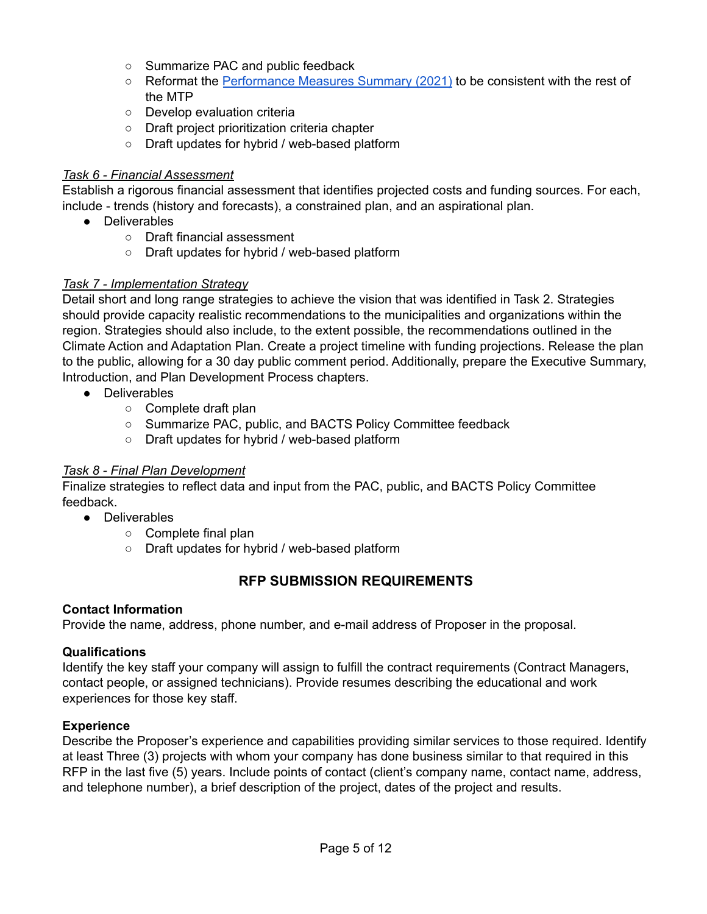- Summarize PAC and public feedback
- Reformat the [Performance](https://bactsmpo.org/wp-content/uploads/2021/09/Performance-Measures-Report-1.pdf) Measures Summary (2021) to be consistent with the rest of the MTP
- Develop evaluation criteria
- Draft project prioritization criteria chapter
- Draft updates for hybrid / web-based platform

### *Task 6 - Financial Assessment*

Establish a rigorous financial assessment that identifies projected costs and funding sources. For each, include - trends (history and forecasts), a constrained plan, and an aspirational plan.

- Deliverables
	- Draft financial assessment
	- Draft updates for hybrid / web-based platform

### *Task 7 - Implementation Strategy*

Detail short and long range strategies to achieve the vision that was identified in Task 2. Strategies should provide capacity realistic recommendations to the municipalities and organizations within the region. Strategies should also include, to the extent possible, the recommendations outlined in the Climate Action and Adaptation Plan. Create a project timeline with funding projections. Release the plan to the public, allowing for a 30 day public comment period. Additionally, prepare the Executive Summary, Introduction, and Plan Development Process chapters.

- Deliverables
	- Complete draft plan
	- Summarize PAC, public, and BACTS Policy Committee feedback
	- Draft updates for hybrid / web-based platform

### *Task 8 - Final Plan Development*

Finalize strategies to reflect data and input from the PAC, public, and BACTS Policy Committee feedback.

- Deliverables
	- Complete final plan
	- Draft updates for hybrid / web-based platform

# **RFP SUBMISSION REQUIREMENTS**

### **Contact Information**

Provide the name, address, phone number, and e-mail address of Proposer in the proposal.

### **Qualifications**

Identify the key staff your company will assign to fulfill the contract requirements (Contract Managers, contact people, or assigned technicians). Provide resumes describing the educational and work experiences for those key staff.

### **Experience**

Describe the Proposer's experience and capabilities providing similar services to those required. Identify at least Three (3) projects with whom your company has done business similar to that required in this RFP in the last five (5) years. Include points of contact (client's company name, contact name, address, and telephone number), a brief description of the project, dates of the project and results.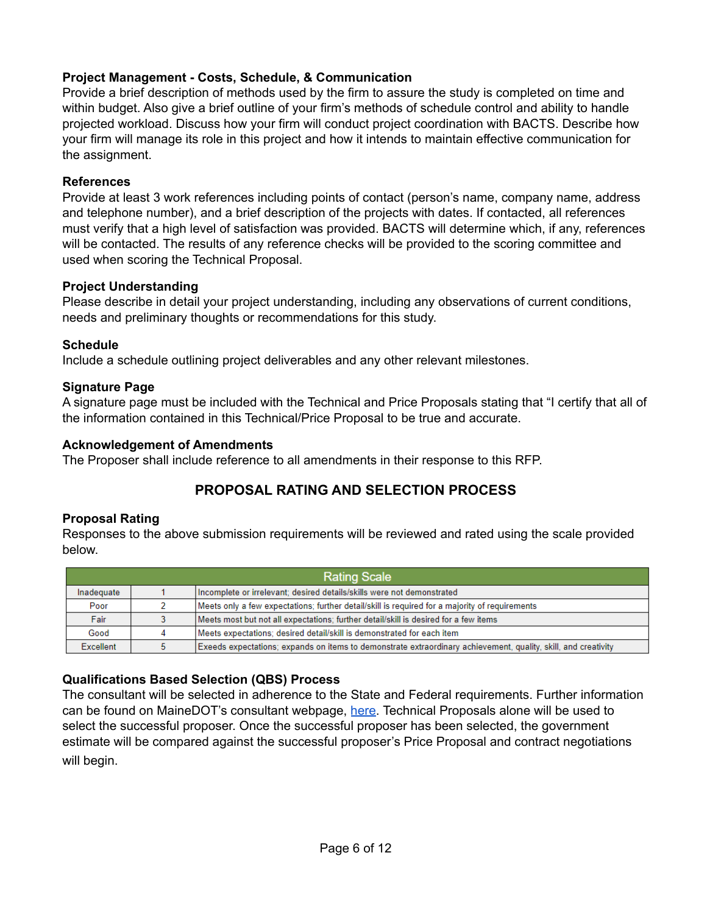### **Project Management - Costs, Schedule, & Communication**

Provide a brief description of methods used by the firm to assure the study is completed on time and within budget. Also give a brief outline of your firm's methods of schedule control and ability to handle projected workload. Discuss how your firm will conduct project coordination with BACTS. Describe how your firm will manage its role in this project and how it intends to maintain effective communication for the assignment.

### **References**

Provide at least 3 work references including points of contact (person's name, company name, address and telephone number), and a brief description of the projects with dates. If contacted, all references must verify that a high level of satisfaction was provided. BACTS will determine which, if any, references will be contacted. The results of any reference checks will be provided to the scoring committee and used when scoring the Technical Proposal.

#### **Project Understanding**

Please describe in detail your project understanding, including any observations of current conditions, needs and preliminary thoughts or recommendations for this study.

### **Schedule**

Include a schedule outlining project deliverables and any other relevant milestones.

### **Signature Page**

A signature page must be included with the Technical and Price Proposals stating that "I certify that all of the information contained in this Technical/Price Proposal to be true and accurate.

### **Acknowledgement of Amendments**

The Proposer shall include reference to all amendments in their response to this RFP.

# **PROPOSAL RATING AND SELECTION PROCESS**

### **Proposal Rating**

Responses to the above submission requirements will be reviewed and rated using the scale provided below.

| <b>Rating Scale</b> |   |                                                                                                                |
|---------------------|---|----------------------------------------------------------------------------------------------------------------|
| Inadequate          |   | Incomplete or irrelevant; desired details/skills were not demonstrated                                         |
| Poor                |   | Meets only a few expectations; further detail/skill is required for a majority of requirements                 |
| Fair                |   | Meets most but not all expectations; further detail/skill is desired for a few items                           |
| Good                | 4 | Meets expectations; desired detail/skill is demonstrated for each item                                         |
| Excellent           | 5 | Exeeds expectations; expands on items to demonstrate extraordinary achievement, quality, skill, and creativity |

### **Qualifications Based Selection (QBS) Process**

The consultant will be selected in adherence to the State and Federal requirements. Further information can be found on MaineDOT's consultant webpage, [here.](https://www.maine.gov/mdot/cpo/doingbusiness/) Technical Proposals alone will be used to select the successful proposer. Once the successful proposer has been selected, the government estimate will be compared against the successful proposer's Price Proposal and contract negotiations will begin.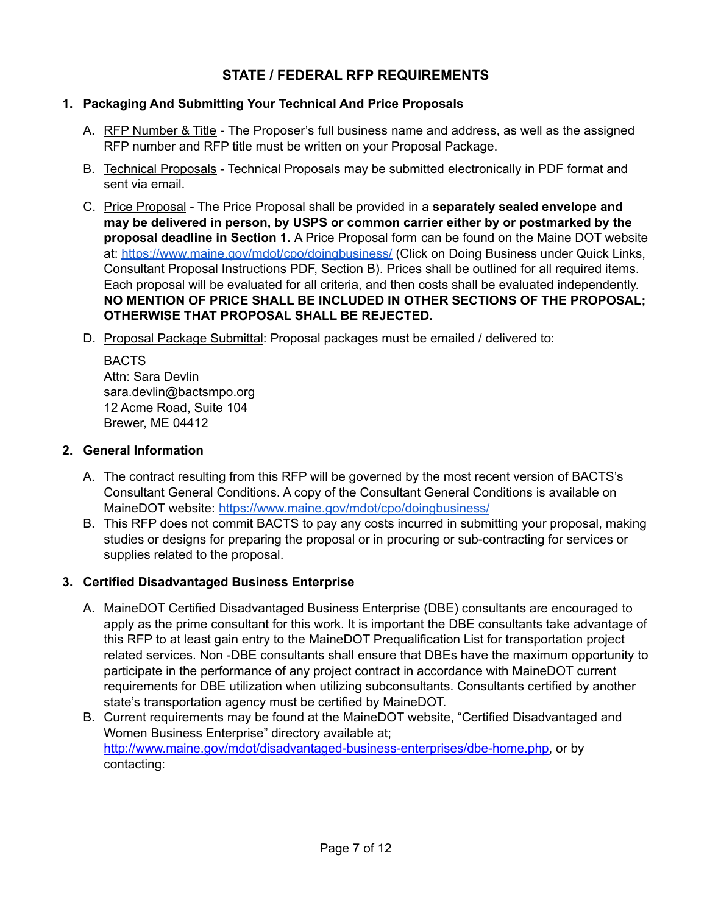# **STATE / FEDERAL RFP REQUIREMENTS**

### **1. Packaging And Submitting Your Technical And Price Proposals**

- A. RFP Number & Title The Proposer's full business name and address, as well as the assigned RFP number and RFP title must be written on your Proposal Package.
- B. Technical Proposals Technical Proposals may be submitted electronically in PDF format and sent via email.
- C. Price Proposal The Price Proposal shall be provided in a **separately sealed envelope and may be delivered in person, by USPS or common carrier either by or postmarked by the proposal deadline in Section 1.** A Price Proposal form can be found on the Maine DOT website at: <https://www.maine.gov/mdot/cpo/doingbusiness/> (Click on Doing Business under Quick Links, Consultant Proposal Instructions PDF, Section B). Prices shall be outlined for all required items. Each proposal will be evaluated for all criteria, and then costs shall be evaluated independently. **NO MENTION OF PRICE SHALL BE INCLUDED IN OTHER SECTIONS OF THE PROPOSAL; OTHERWISE THAT PROPOSAL SHALL BE REJECTED.**
- D. Proposal Package Submittal: Proposal packages must be emailed / delivered to:

BACTS Attn: Sara Devlin sara.devlin@bactsmpo.org 12 Acme Road, Suite 104 Brewer, ME 04412

### **2. General Information**

- A. The contract resulting from this RFP will be governed by the most recent version of BACTS's Consultant General Conditions. A copy of the Consultant General Conditions is available on MaineDOT website: <https://www.maine.gov/mdot/cpo/doingbusiness/>
- B. This RFP does not commit BACTS to pay any costs incurred in submitting your proposal, making studies or designs for preparing the proposal or in procuring or sub-contracting for services or supplies related to the proposal.

### **3. Certified Disadvantaged Business Enterprise**

- A. MaineDOT Certified Disadvantaged Business Enterprise (DBE) consultants are encouraged to apply as the prime consultant for this work. It is important the DBE consultants take advantage of this RFP to at least gain entry to the MaineDOT Prequalification List for transportation project related services. Non -DBE consultants shall ensure that DBEs have the maximum opportunity to participate in the performance of any project contract in accordance with MaineDOT current requirements for DBE utilization when utilizing subconsultants. Consultants certified by another state's transportation agency must be certified by MaineDOT.
- B. Current requirements may be found at the MaineDOT website, "Certified Disadvantaged and Women Business Enterprise" directory available at; [http://www.maine.gov/mdot/disadvantaged-business-enterprises/dbe-home.php,](http://www.maine.gov/mdot/disadvantaged-business-enterprises/dbe-home.php) or by contacting: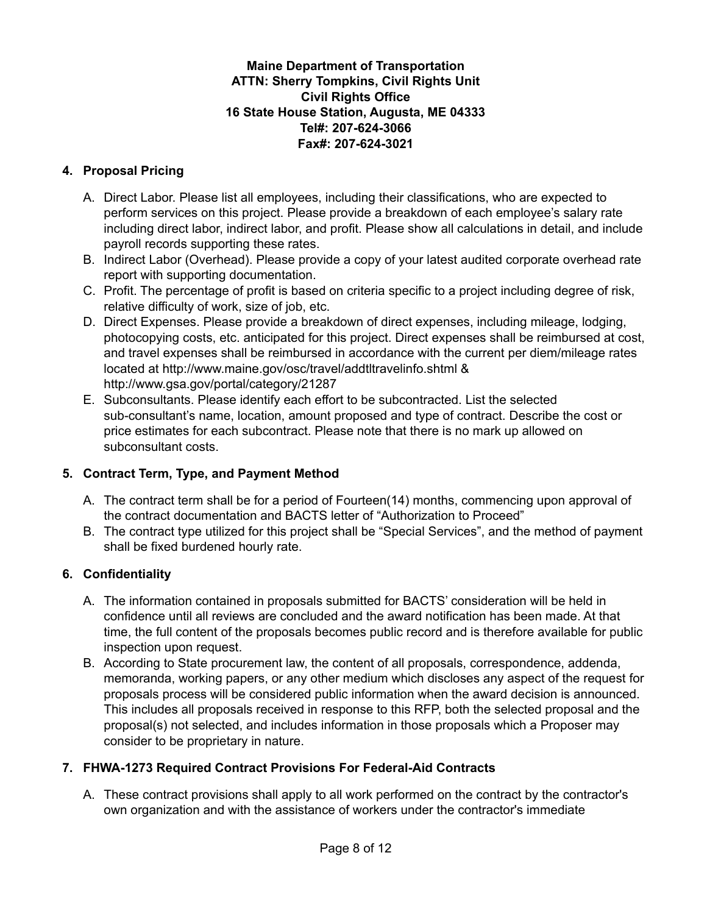### **Maine Department of Transportation ATTN: Sherry Tompkins, Civil Rights Unit Civil Rights Office 16 State House Station, Augusta, ME 04333 Tel#: 207-624-3066 Fax#: 207-624-3021**

### **4. Proposal Pricing**

- A. Direct Labor. Please list all employees, including their classifications, who are expected to perform services on this project. Please provide a breakdown of each employee's salary rate including direct labor, indirect labor, and profit. Please show all calculations in detail, and include payroll records supporting these rates.
- B. Indirect Labor (Overhead). Please provide a copy of your latest audited corporate overhead rate report with supporting documentation.
- C. Profit. The percentage of profit is based on criteria specific to a project including degree of risk, relative difficulty of work, size of job, etc.
- D. Direct Expenses. Please provide a breakdown of direct expenses, including mileage, lodging, photocopying costs, etc. anticipated for this project. Direct expenses shall be reimbursed at cost, and travel expenses shall be reimbursed in accordance with the current per diem/mileage rates located at [http://www.maine.gov/osc/travel/addtltravelinfo.shtml](http://www.maine.gov/osc/travel/addtltravelinfo.shtml%20) & <http://www.gsa.gov/portal/category/21287>
- E. Subconsultants. Please identify each effort to be subcontracted. List the selected sub-consultant's name, location, amount proposed and type of contract. Describe the cost or price estimates for each subcontract. Please note that there is no mark up allowed on subconsultant costs.

### **5. Contract Term, Type, and Payment Method**

- A. The contract term shall be for a period of Fourteen(14) months, commencing upon approval of the contract documentation and BACTS letter of "Authorization to Proceed"
- B. The contract type utilized for this project shall be "Special Services", and the method of payment shall be fixed burdened hourly rate.

### **6. Confidentiality**

- A. The information contained in proposals submitted for BACTS' consideration will be held in confidence until all reviews are concluded and the award notification has been made. At that time, the full content of the proposals becomes public record and is therefore available for public inspection upon request.
- B. According to State procurement law, the content of all proposals, correspondence, addenda, memoranda, working papers, or any other medium which discloses any aspect of the request for proposals process will be considered public information when the award decision is announced. This includes all proposals received in response to this RFP, both the selected proposal and the proposal(s) not selected, and includes information in those proposals which a Proposer may consider to be proprietary in nature.

### **7. FHWA-1273 Required Contract Provisions For Federal-Aid Contracts**

A. These contract provisions shall apply to all work performed on the contract by the contractor's own organization and with the assistance of workers under the contractor's immediate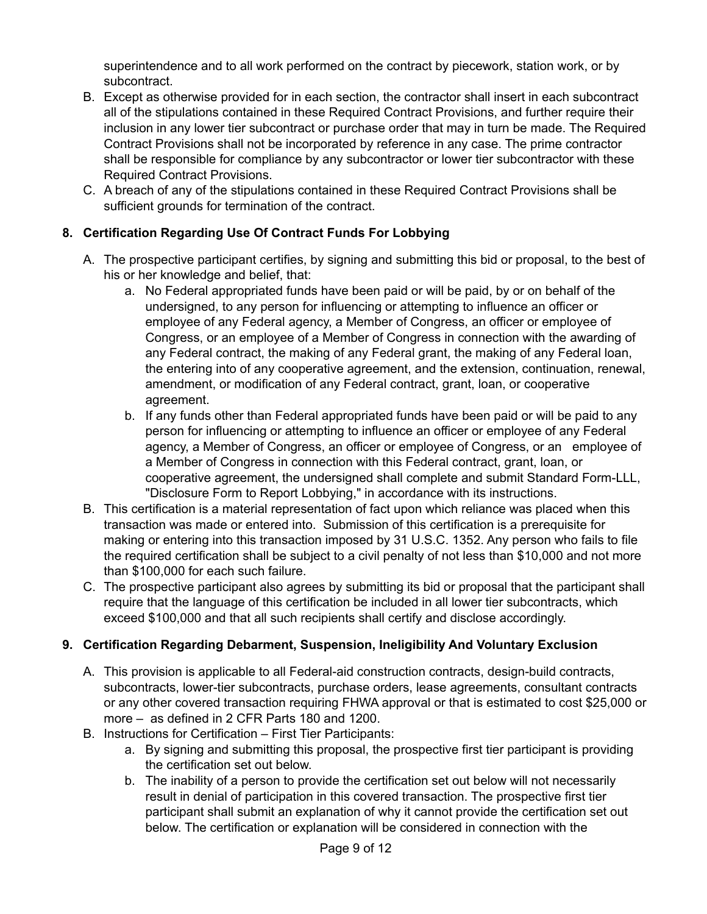superintendence and to all work performed on the contract by piecework, station work, or by subcontract.

- B. Except as otherwise provided for in each section, the contractor shall insert in each subcontract all of the stipulations contained in these Required Contract Provisions, and further require their inclusion in any lower tier subcontract or purchase order that may in turn be made. The Required Contract Provisions shall not be incorporated by reference in any case. The prime contractor shall be responsible for compliance by any subcontractor or lower tier subcontractor with these Required Contract Provisions.
- C. A breach of any of the stipulations contained in these Required Contract Provisions shall be sufficient grounds for termination of the contract.

# **8. Certification Regarding Use Of Contract Funds For Lobbying**

- A. The prospective participant certifies, by signing and submitting this bid or proposal, to the best of his or her knowledge and belief, that:
	- a. No Federal appropriated funds have been paid or will be paid, by or on behalf of the undersigned, to any person for influencing or attempting to influence an officer or employee of any Federal agency, a Member of Congress, an officer or employee of Congress, or an employee of a Member of Congress in connection with the awarding of any Federal contract, the making of any Federal grant, the making of any Federal loan, the entering into of any cooperative agreement, and the extension, continuation, renewal, amendment, or modification of any Federal contract, grant, loan, or cooperative agreement.
	- b. If any funds other than Federal appropriated funds have been paid or will be paid to any person for influencing or attempting to influence an officer or employee of any Federal agency, a Member of Congress, an officer or employee of Congress, or an employee of a Member of Congress in connection with this Federal contract, grant, loan, or cooperative agreement, the undersigned shall complete and submit Standard Form-LLL, "Disclosure Form to Report Lobbying," in accordance with its instructions.
- B. This certification is a material representation of fact upon which reliance was placed when this transaction was made or entered into. Submission of this certification is a prerequisite for making or entering into this transaction imposed by 31 U.S.C. 1352. Any person who fails to file the required certification shall be subject to a civil penalty of not less than \$10,000 and not more than \$100,000 for each such failure.
- C. The prospective participant also agrees by submitting its bid or proposal that the participant shall require that the language of this certification be included in all lower tier subcontracts, which exceed \$100,000 and that all such recipients shall certify and disclose accordingly.

## **9. Certification Regarding Debarment, Suspension, Ineligibility And Voluntary Exclusion**

- A. This provision is applicable to all Federal-aid construction contracts, design-build contracts, subcontracts, lower-tier subcontracts, purchase orders, lease agreements, consultant contracts or any other covered transaction requiring FHWA approval or that is estimated to cost \$25,000 or more – as defined in 2 CFR Parts 180 and 1200.
- B. Instructions for Certification First Tier Participants:
	- a. By signing and submitting this proposal, the prospective first tier participant is providing the certification set out below.
	- b. The inability of a person to provide the certification set out below will not necessarily result in denial of participation in this covered transaction. The prospective first tier participant shall submit an explanation of why it cannot provide the certification set out below. The certification or explanation will be considered in connection with the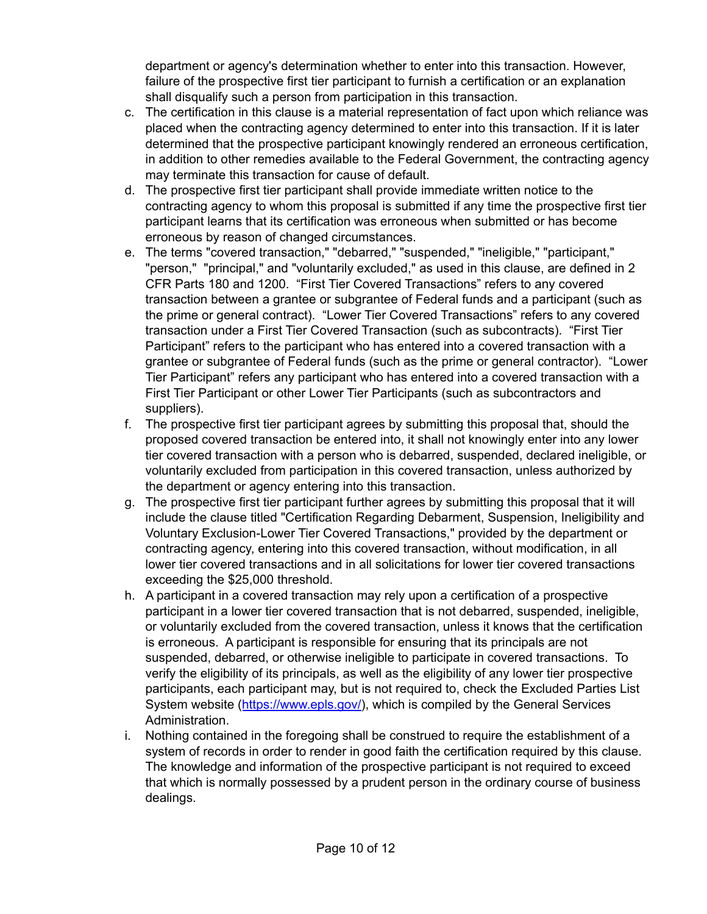department or agency's determination whether to enter into this transaction. However, failure of the prospective first tier participant to furnish a certification or an explanation shall disqualify such a person from participation in this transaction.

- c. The certification in this clause is a material representation of fact upon which reliance was placed when the contracting agency determined to enter into this transaction. If it is later determined that the prospective participant knowingly rendered an erroneous certification, in addition to other remedies available to the Federal Government, the contracting agency may terminate this transaction for cause of default.
- d. The prospective first tier participant shall provide immediate written notice to the contracting agency to whom this proposal is submitted if any time the prospective first tier participant learns that its certification was erroneous when submitted or has become erroneous by reason of changed circumstances.
- e. The terms "covered transaction," "debarred," "suspended," "ineligible," "participant," "person," "principal," and "voluntarily excluded," as used in this clause, are defined in 2 CFR Parts 180 and 1200. "First Tier Covered Transactions" refers to any covered transaction between a grantee or subgrantee of Federal funds and a participant (such as the prime or general contract). "Lower Tier Covered Transactions" refers to any covered transaction under a First Tier Covered Transaction (such as subcontracts). "First Tier Participant" refers to the participant who has entered into a covered transaction with a grantee or subgrantee of Federal funds (such as the prime or general contractor). "Lower Tier Participant" refers any participant who has entered into a covered transaction with a First Tier Participant or other Lower Tier Participants (such as subcontractors and suppliers).
- f. The prospective first tier participant agrees by submitting this proposal that, should the proposed covered transaction be entered into, it shall not knowingly enter into any lower tier covered transaction with a person who is debarred, suspended, declared ineligible, or voluntarily excluded from participation in this covered transaction, unless authorized by the department or agency entering into this transaction.
- g. The prospective first tier participant further agrees by submitting this proposal that it will include the clause titled "Certification Regarding Debarment, Suspension, Ineligibility and Voluntary Exclusion-Lower Tier Covered Transactions," provided by the department or contracting agency, entering into this covered transaction, without modification, in all lower tier covered transactions and in all solicitations for lower tier covered transactions exceeding the \$25,000 threshold.
- h. A participant in a covered transaction may rely upon a certification of a prospective participant in a lower tier covered transaction that is not debarred, suspended, ineligible, or voluntarily excluded from the covered transaction, unless it knows that the certification is erroneous. A participant is responsible for ensuring that its principals are not suspended, debarred, or otherwise ineligible to participate in covered transactions. To verify the eligibility of its principals, as well as the eligibility of any lower tier prospective participants, each participant may, but is not required to, check the Excluded Parties List System website ([https://www.epls.gov/\)](https://www.epls.gov/), which is compiled by the General Services Administration.
- i. Nothing contained in the foregoing shall be construed to require the establishment of a system of records in order to render in good faith the certification required by this clause. The knowledge and information of the prospective participant is not required to exceed that which is normally possessed by a prudent person in the ordinary course of business dealings.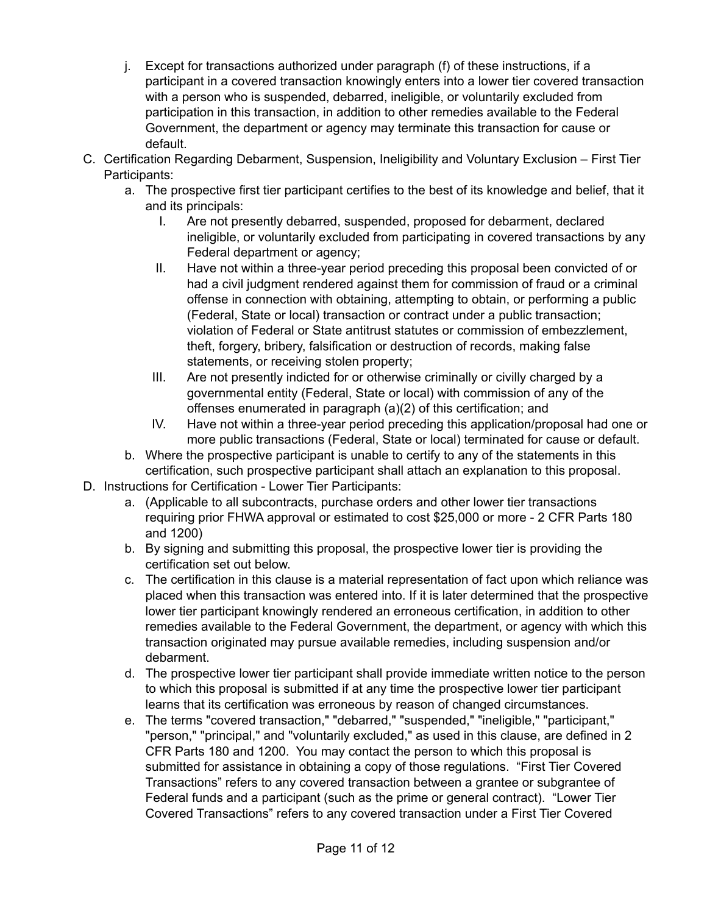- j. Except for transactions authorized under paragraph (f) of these instructions, if a participant in a covered transaction knowingly enters into a lower tier covered transaction with a person who is suspended, debarred, ineligible, or voluntarily excluded from participation in this transaction, in addition to other remedies available to the Federal Government, the department or agency may terminate this transaction for cause or default.
- C. Certification Regarding Debarment, Suspension, Ineligibility and Voluntary Exclusion First Tier Participants:
	- a. The prospective first tier participant certifies to the best of its knowledge and belief, that it and its principals:
		- I. Are not presently debarred, suspended, proposed for debarment, declared ineligible, or voluntarily excluded from participating in covered transactions by any Federal department or agency;
		- II. Have not within a three-year period preceding this proposal been convicted of or had a civil judgment rendered against them for commission of fraud or a criminal offense in connection with obtaining, attempting to obtain, or performing a public (Federal, State or local) transaction or contract under a public transaction; violation of Federal or State antitrust statutes or commission of embezzlement, theft, forgery, bribery, falsification or destruction of records, making false statements, or receiving stolen property;
		- III. Are not presently indicted for or otherwise criminally or civilly charged by a governmental entity (Federal, State or local) with commission of any of the offenses enumerated in paragraph (a)(2) of this certification; and
		- IV. Have not within a three-year period preceding this application/proposal had one or more public transactions (Federal, State or local) terminated for cause or default.
	- b. Where the prospective participant is unable to certify to any of the statements in this certification, such prospective participant shall attach an explanation to this proposal.
- D. Instructions for Certification Lower Tier Participants:
	- a. (Applicable to all subcontracts, purchase orders and other lower tier transactions requiring prior FHWA approval or estimated to cost \$25,000 or more - 2 CFR Parts 180 and 1200)
	- b. By signing and submitting this proposal, the prospective lower tier is providing the certification set out below.
	- c. The certification in this clause is a material representation of fact upon which reliance was placed when this transaction was entered into. If it is later determined that the prospective lower tier participant knowingly rendered an erroneous certification, in addition to other remedies available to the Federal Government, the department, or agency with which this transaction originated may pursue available remedies, including suspension and/or debarment.
	- d. The prospective lower tier participant shall provide immediate written notice to the person to which this proposal is submitted if at any time the prospective lower tier participant learns that its certification was erroneous by reason of changed circumstances.
	- e. The terms "covered transaction," "debarred," "suspended," "ineligible," "participant," "person," "principal," and "voluntarily excluded," as used in this clause, are defined in 2 CFR Parts 180 and 1200. You may contact the person to which this proposal is submitted for assistance in obtaining a copy of those regulations. "First Tier Covered Transactions" refers to any covered transaction between a grantee or subgrantee of Federal funds and a participant (such as the prime or general contract). "Lower Tier Covered Transactions" refers to any covered transaction under a First Tier Covered